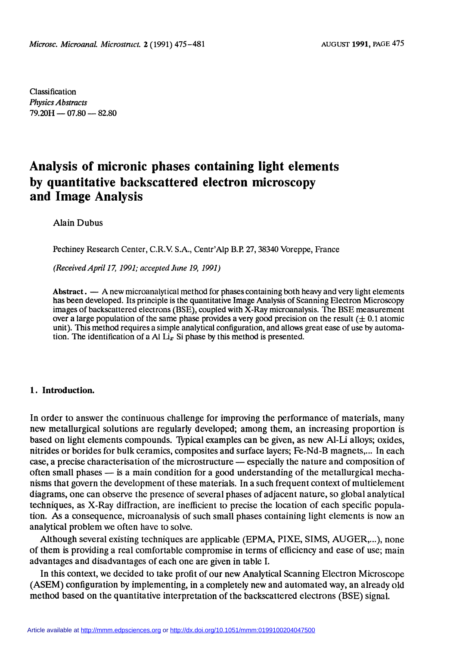Classification Physics Abstracts  $79.20H - 07.80 - 82.80$ 

# Analysis of micronic phases containing light elements by quantitative backscattered electron microscopy and Image Analysis

### Alain Dubus

Pechiney Research Center, C.R.V S.A., Centr'Alp B.P. 27, 38340 Voreppe, France

(Received April 17, 1991; accepted June 19, 1991)

Abstract.  $\frac{1}{2}$  A new microanalytical method for phases containing both heavy and very light elements has been developed. Its principle is the quantitative Image Analysis of Scanning Electron Microscopy images of backscattered electrons (BSE), coupled with X-Ray microanalysis. The BSE measurement over a large population of the same phase provides a very good precision on the result  $(\pm 0.1)$  atomic unit). This method requires a simple analytical configuration, and allows great ease of use by automation. The identification of a Al  $Li<sub>x</sub>$  Si phase by this method is presented.

#### 1. Introduction.

In order to answer the continuous challenge for improving the performance of materials, many new metallurgical solutions are regularly developed; among them, an increasing proportion is based on light elements compounds. Typical examples can be given, as new Al-Li alloys; oxides, nitrides or borides for bulk ceramics, composites and surface layers; Fe-Nd-B magnets,... In each case, a precise characterisation of the microstructure — especially the nature and composition of often small phases  $-$  is a main condition for a good understanding of the metallurgical mechanisms that govern the development of these materials. In a such frequent context of multielement diagrams, one can observe the presence of several phases of adjacent nature, so global analytical techniques, as X-Ray diffraction, are inefhcient to precise the location of each specific population. As a consequence, microanalysis of such small phases containing light elements is now an analytical problem we often have to solve.

Although several existing techniques are applicable (EPMA, PIXE, SIMS, AUGER,...), none of them is providing a real comfortable compromise in terms of efficiency and ease of use; main advantages and disadvantages of each one are given in table I.

In this context, we decided to take profit of our new Analytical Scanning Electron Microscope (ASEM) configuration by implementing, in a completely new and automated way, an already old method based on the quantitative interpretation of the backscattered electrons (BSE) signal.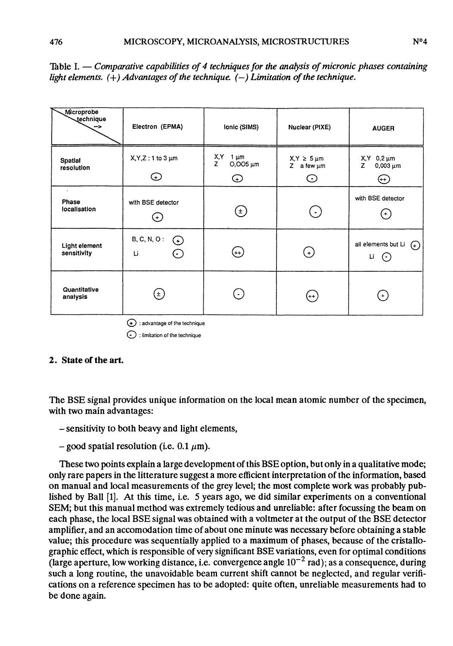| Microprobe<br>technique<br>$\rightarrow$ | Electron (EPMA)                                  | Ionic (SIMS)                           | Nuclear (PIXE)                                                                                 | <b>AUGER</b>                                       |
|------------------------------------------|--------------------------------------------------|----------------------------------------|------------------------------------------------------------------------------------------------|----------------------------------------------------|
| Spatial<br>resolution                    | $X, Y, Z: 1$ to $3 \mu m$<br>⊕                   | X,Y<br>1 μm<br>Z<br>$O,OO5 \mu m$<br>⊙ | $X,Y \geq 5 \,\text{\ensuremath{\upmu}}\text{\ensuremath{\mathsf{m}}}$<br>Z a few $\mu$ m<br>⊙ | $X, Y$ 0,2 $\mu$ m<br>z<br>$0,003 \mu m$<br>⊕      |
| $\cdot$<br>Phase<br>localisation         | with BSE detector<br>$_{\rm (t)}$                | $(\pm)$                                | $(\, \cdot \,)$                                                                                | with BSE detector<br>(+)                           |
| Light element<br>sensitivity             | <b>B, C, N, O:</b><br>$\odot$<br>Li<br>$(\cdot)$ | $(++)$                                 | $^{(+)}$                                                                                       | all elements but Li<br>$\Theta$<br>Li<br>$(\cdot)$ |
| Quantitative<br>analysis                 | $(\pm)$                                          | $\blacksquare$                         | $(++)$                                                                                         | $(+)$                                              |
| $(4)$ : advantage of the technique       |                                                  |                                        |                                                                                                |                                                    |

Table I. — Comparative capabilities of 4 techniques for the analysis of micronic phases containing light elements.  $(+)$  Advantages of the technique.  $(-)$  Limitation of the technique.

 $\odot$  : limitation of the technique

## 2. State of the art.

The BSE signal provides unique information on the local mean atomic number of the specimen, with two main advantages:

- sensitivity to both beavy and light elements,
- good spatial resolution (i.e. 0.1  $\mu$ m).

These two points explain a large development of this BSE option, but only in a qualitative mode; only rare papers in the litterature suggest a more efficient interpretation of the information, based on manual and local measurements of the grey level; the most complete work was probably published by Ball [1]. At this time, i.e. 5 years ago, we did similar experiments on a conventional SEM; but this manual method was extremely tedious and unreliable: after focussing the beam on each phase, the local BSE signal was obtained with a voltmeter at the output of the BSE detector amplifier, and an accomodation time of about one minute was necessary before obtaining a stable value; this procedure was sequentially applied to a maximum of phases, because of the cristallographic effect, which is responsible of very significant BSE variations, even for optimal conditions (large aperture, low working distance, i.e. convergence angle  $10^{-2}$  rad); as a consequence, during such a long routine, the unavoidable beam current shift cannot be neglected, and regular verifications on a reference specimen has to be adopted: quite often, unreliable measurements had to be done again.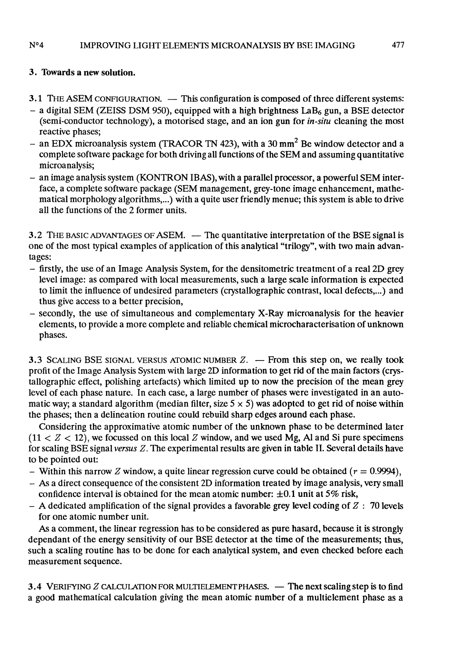#### $N^04$ IMPROVING LIGHT ELEMENTS MICROANALYSIS BY BSE IMAGING

# 3. Towards a new solution.

- 3.1 THE ASEM CONFIGURATION. This configuration is composed of three different systems:<br>- a digital SEM (ZEISS DSM 950), equipped with a high brightness LaB<sub>6</sub> gun, a BSE detector
- (semi-conductor technology), a motorised stage, and an ion gun for *in-situ* cleaning the most reactive phases;
- an EDX microanalysis system (TRACOR TN 423), with a 30 mm<sup>2</sup> Be window detector and a complete software package for both driving all functions of the SEM and assuming quantitative microanalysis;
- an image analysis system (KONTRON IBAS), with a parallel processor, a powerful SEM interface, a complete software package (SEM management, grey-tone image enhancement, mathematical morphology algorithms,...) with a quite user friendly menue; this system is able to drive all the functions of the 2 former units.

3.2 THE BASIC ADVANTAGES OF ASEM.  $-$  The quantitative interpretation of the BSE signal is one of the most typical examples of application of this analytical "trilogy", with two main advantages:

- firstly, the use of an Image Analysis System, for the densitometric treatmcnt of a real 2D grey level image: as compared with local measurements, such a large scale information is expected to limit the influence of undesired parameters (crystallographic contrast, local defects,...) and<br>thus give access to a better precision,
- secondly, the use of simultaneous and complementary X-Ray microanalysis for the heavier elements, to provide a more complete and reliable chemical microcharacterisation of unknown phases.

3.3 SCALING BSE SIGNAL VERSUS ATOMIC NUMBER  $Z$ .  $-$  From this step on, we really took profit of the Image Analysis System with large 2D information to get rid of the main factors (crystallographic effect, polishing artefacts) which limited up to now the precision of the mean grey level of each phase nature. In each case, a large number of phases were investigated in an automatic way; a standard algorithm (median filter, size  $5 \times 5$ ) was adopted to get rid of noise within the phases; then a delineation routine could rebuild sharp edges around each phase.

Considering the approximative atomic number of the unknown phase to be determined later  $(11 < Z < 12)$ , we focussed on this local Z window, and we used Mg, Al and Si pure specimens for scaling BSE signal versus  $Z$ . The experimental results are given in table II. Several details have to be pointed out:

- 
- Within this narrow Z window, a quite linear regression curve could be obtained  $(r = 0.9994)$ ,<br>- As a direct consequence of the consistent 2D information treated by image analysis, very small<br>confidence interval is obtain
- $-$  A dedicated amplification of the signal provides a favorable grey level coding of  $Z : 70$  levels for one atomic number unit.

As a comment, the linear regression has to be considered as pure hasard, because it is strongly dependant of the energy sensitivity of our BSE detector at the time of the measurements; thus, such a scaling routine has to be done for each analytical system, and even checked before each measurement sequence.

3.4 VERIFYING  $Z$  CALCULATION FOR MULTIELEMENT PHASES.  $-$  The next scaling step is to find a good mathematical calculation giving the mean atomic number of a multielement phase as a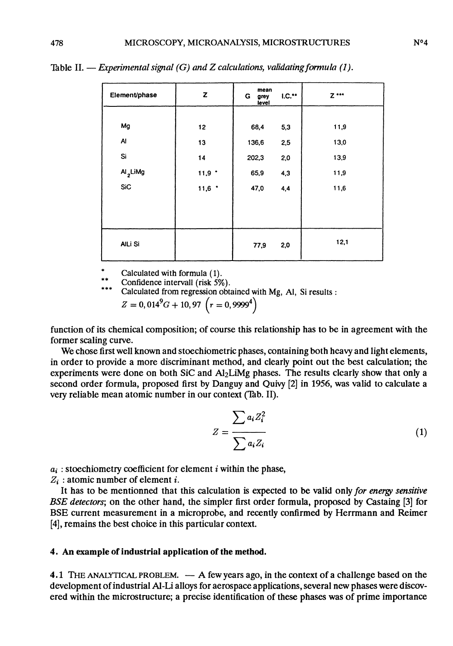| Element/phase        | z                 | mean<br>$1.0.**$<br>G<br>grey<br>level | $Z$ *** |
|----------------------|-------------------|----------------------------------------|---------|
|                      |                   |                                        |         |
| Mg                   | 12                | 5,3<br>68,4                            | 11,9    |
| Al                   | 13                | 136,6<br>2,5                           | 13,0    |
| Si                   | 14                | 202,3<br>2,0                           | 13,9    |
| Al <sub>2</sub> LiMg | $11,9$ $^{\circ}$ | 65,9<br>4,3                            | 11,9    |
| SiC                  | $11,6$ $^{\circ}$ | 47,0<br>4,4                            | 11,6    |
|                      |                   |                                        |         |
|                      |                   |                                        |         |
| AILi Si              |                   | 2,0<br>77,9                            | 12,1    |

Table II. — Experimental signal  $(G)$  and Z calculations, validating formula (1).

Calculated with formula (1).

Confidence intervall (risk 5%).

Calculated from regression obtained with Mg, Al, Si results :

 $Z = 0,014<sup>9</sup>G + 10,97$   $(r = 0,9999<sup>4</sup>)$ 

function of its chemical composition; of course this relationship has to be in agreement with the former scaling curve.

We chose first well known and stoechiometric phases, containing both heavy and light elements, in order to provide a more discriminant method, and clearly point out the best calculation; the experiments were done on both SiC and Al<sub>2</sub>LiMg phases. The results clearly show that only a second order formula, proposed first by Danguy and Quivy [2] in 1956, was valid to calculate a very reliable mean atomic number in our context (Tab. II).

$$
Z = \frac{\sum a_i Z_i^2}{\sum a_i Z_i}
$$
 (1)

 $a_i$ : stoechiometry coefficient for element i within the phase,

 $Z_i$ : atomic number of element *i*.

It has to be mentionned that this calculation is expected to be valid only for energy sensitive BSE detectors; on the other hand, the simpler first order formula, proposed by Castaing [3] for BSE current measurement in a microprobe, and recently confirmed by Herrmann and Reimer [4], remains the best choice in this particular context.

### 4. An example of industrial application of the method.

4.1 THE ANALYTICAL PROBLEM.  $- A$  few years ago, in the context of a challenge based on the development of industrial Al-Li alloys for aerospace applications, several new phases were discovered within the microstructure; a precise identification of these phases was of prime importance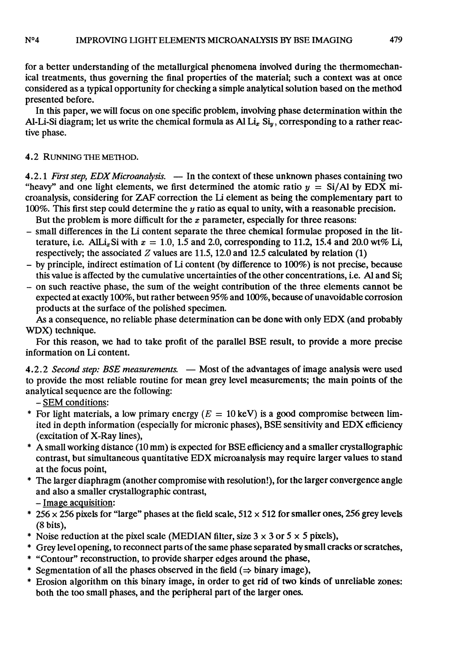#### $N<sup>0</sup>4$ **IMPROVING LIGHT ELEMENTS MICROANALYSIS BY BSE IMAGING**

for a better understanding of the metallurgical phenomena involved during the thermomechanical treatments, thus governing the final properties of the material; such a context was at once considered as a typical opportunity for checking a simple analytical solution based on the method presented before.

In this paper, we will focus on one specific problem, involving phase determination within the Al-Li-Si diagram; let us write the chemical formula as Al Li<sub>x</sub> Si<sub>y</sub>, corresponding to a rather reactive phase.

# 4.2 RUNNING THE METHOD.

4.2.1 First step, EDX Microanalysis.  $-$  In the context of these unknown phases containing two "heavy" and one light elements, we first determined the atomic ratio  $y = Si/Al$  by EDX microanalysis, considering for ZAF correction the Li element as being the complementary part to 100%. This first step could determine the y ratio as equal to unity, with a reasonable precision.

But the problem is more difficult for the  $x$  parameter, especially for three reasons:

- small differences in the Li content separate the three chemical formulae proposed in the litterature, i.e. AlLi<sub>x</sub>Si with  $x = 1.0$ , 1.5 and 2.0, corresponding to 11.2, 15.4 and 20.0 wt% Li, respectively; the associated Z values are 11.5, 12.0 and 12.5 calculated by relation (1)
- by principle, indirect estimation of Li content (by difference to 100%) is not precise, because this value is affected by the cumulative uncertainties of the other concentrations, i.e. Al and Si;
- on such reactive phase, the sum of the weight contribution of the three elements cannot be expected at exactly 100%, but rather between 95% and 100%, because of unavoidable corrosion products at the surface of the polished specimen.

As a consequence, no reliable phase determination can be done with only EDX (and probably WDX) technique.

For this reason, we had to take profit of the parallel BSE result, to provide a more precise information on Li content.

4.2.2 Second step: BSE measurements. — Most of the advantages of image analysis were used to provide the most reliable routine for mean grey level measurements; the main points of the analytical sequence are the following: - SEM conditions:

- \* For light materials, a low primary energy ( $E = 10 \text{ keV}$ ) is a good compromise between limited in depth information (especially for micronic phases), BSE sensitivity and EDX efficiency (excitation of X-Ray lines),
- A small working distance  $(10 \text{ mm})$  is expected for BSE efficiency and a smaller crystallographic contrast, but simultaneous quantitative EDX microanalysis may require larger values to stand at the focus point,
- The larger diaphragm (another compromise with resolution!), for the larger convergence angle and also a smaller crystallographic contrast,<br>- Image acquisition:
- \* 256 x 256 pixels for "large" phases at the field scale,  $512 \times 512$  for smaller ones, 256 grey levels
- (8 bits),<br>\* Noise reduction at the pixel scale (MEDIAN filter, size  $3 \times 3$  or  $5 \times 5$  pixels),
- \* Grey level opening, to reconnect parts of the same phase separated by small cracks or scratches,
- \* "Contour" reconstruction, to provide sharper edges around the phase,
- \* Segmentation of all the phases observed in the field  $(\Rightarrow$  binary image),
- \* Erosion algorithm on this binary image, in order to get rid of two kinds of unreliable zones: both the too small phases, and the peripheral part of the larger ones.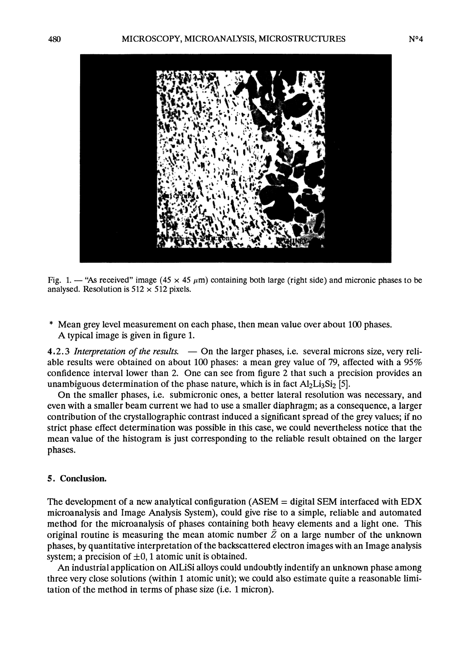

Fig. 1. — "As received" image (45  $\times$  45  $\mu$ m) containing both large (right side) and micronic phases to be analysed. Resolution is  $512 \times 512$  pixels.

\* Mean grey level measurement on each phase, then mean value over about 100 phases. A typical image is given in figure 1.

4.2.3 Interpretation of the results.  $-$  On the larger phases, i.e. several microns size, very reliable results were obtained on about 100 phases: a mean grey value of 79, affected with a 95% confidence interval lower than 2. One can see from figure 2 that such a precision provides an unambiguous determination of the phase nature, which is in fact  $Al_2Li_3Si_2$  [5].

On the smaller phases, i.e. submicronic ones, a better lateral resolution was necessary, and even with a smaller beam current we had to use a smaller diaphragm; as a consequence, a larger contribution of the crystallographic contrast induced a significant spread of the grey values; if no strict phase effect determination was possible in this case, we could nevertheless notice that the mean value of the histogram is just corresponding to the reliable result obtained on the larger phases.

#### 5. Conclusion.

The development of a new analytical configuration ( $\overline{ASEM}$  = digital SEM interfaced with EDX microanalysis and Image Analysis System), could give rise to a simple, reliable and automated method for the microanalysis of phases containing both heavy elements and a light one. This original routine is measuring the mean atomic number  $\overline{Z}$  on a large number of the unknown phases, by quantitative interpretation of the backscattered electron images with an Image analysis system; a precision of  $\pm 0$ , 1 atomic unit is obtained.

An industrial application on AlLiSi alloys could undoubtly indentify an unknown phase among three very close solutions (within 1 atomic unit); we could also estimate quite a reasonable limitation of the method in terms of phase size (i.e. 1 micron).